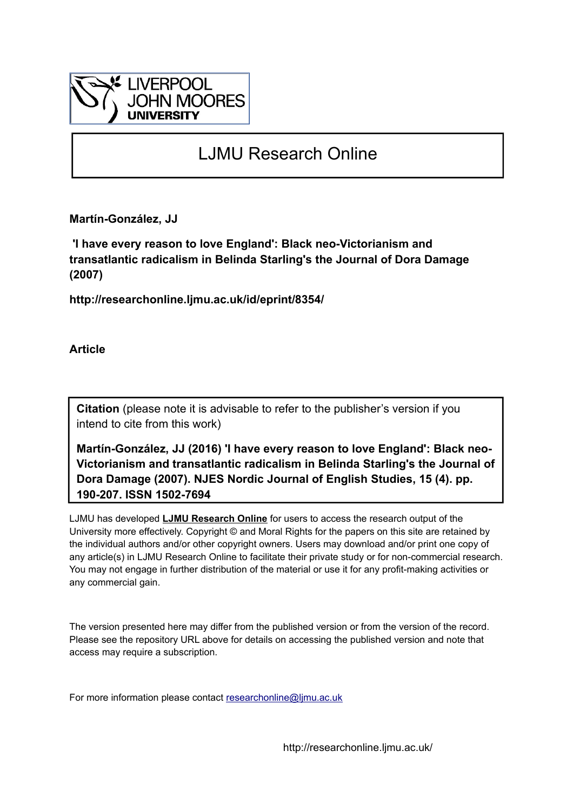

# LJMU Research Online

**Martín-González, JJ**

 **'I have every reason to love England': Black neo-Victorianism and transatlantic radicalism in Belinda Starling's the Journal of Dora Damage (2007)**

**http://researchonline.ljmu.ac.uk/id/eprint/8354/**

**Article**

**Citation** (please note it is advisable to refer to the publisher's version if you intend to cite from this work)

**Martín-González, JJ (2016) 'I have every reason to love England': Black neo-Victorianism and transatlantic radicalism in Belinda Starling's the Journal of Dora Damage (2007). NJES Nordic Journal of English Studies, 15 (4). pp. 190-207. ISSN 1502-7694** 

LJMU has developed **[LJMU Research Online](http://researchonline.ljmu.ac.uk/)** for users to access the research output of the University more effectively. Copyright © and Moral Rights for the papers on this site are retained by the individual authors and/or other copyright owners. Users may download and/or print one copy of any article(s) in LJMU Research Online to facilitate their private study or for non-commercial research. You may not engage in further distribution of the material or use it for any profit-making activities or any commercial gain.

The version presented here may differ from the published version or from the version of the record. Please see the repository URL above for details on accessing the published version and note that access may require a subscription.

For more information please contact researchonline@limu.ac.uk

http://researchonline.ljmu.ac.uk/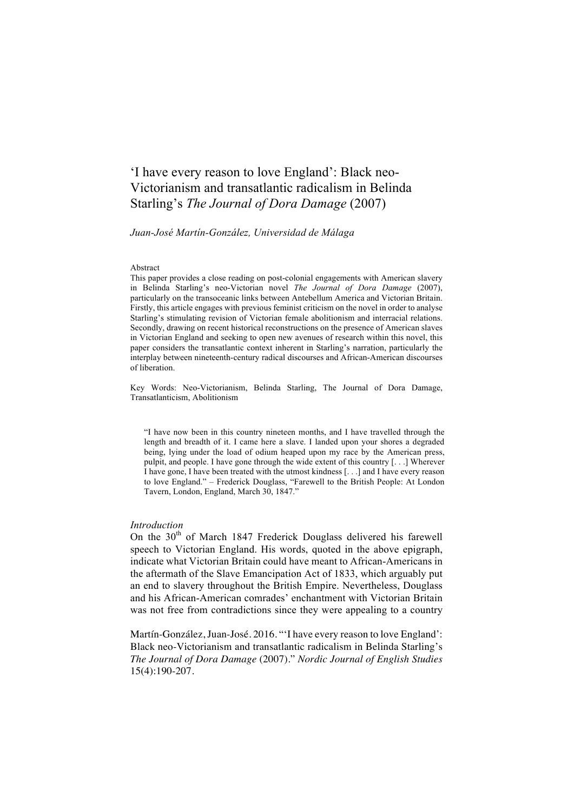# 'I have every reason to love England': Black neo-Victorianism and transatlantic radicalism in Belinda Starling's *The Journal of Dora Damage* (2007)

#### *Juan-José Martín-González, Universidad de Málaga*

#### Abstract

This paper provides a close reading on post-colonial engagements with American slavery in Belinda Starling's neo-Victorian novel *The Journal of Dora Damage* (2007), particularly on the transoceanic links between Antebellum America and Victorian Britain. Firstly, this article engages with previous feminist criticism on the novel in order to analyse Starling's stimulating revision of Victorian female abolitionism and interracial relations. Secondly, drawing on recent historical reconstructions on the presence of American slaves in Victorian England and seeking to open new avenues of research within this novel, this paper considers the transatlantic context inherent in Starling's narration, particularly the interplay between nineteenth-century radical discourses and African-American discourses of liberation.

Key Words: Neo-Victorianism, Belinda Starling, The Journal of Dora Damage, Transatlanticism, Abolitionism

"I have now been in this country nineteen months, and I have travelled through the length and breadth of it. I came here a slave. I landed upon your shores a degraded being, lying under the load of odium heaped upon my race by the American press, pulpit, and people. I have gone through the wide extent of this country [. . .] Wherever I have gone, I have been treated with the utmost kindness [. . .] and I have every reason to love England." – Frederick Douglass, "Farewell to the British People: At London Tavern, London, England, March 30, 1847."

## *Introduction*

On the  $30<sup>th</sup>$  of March 1847 Frederick Douglass delivered his farewell speech to Victorian England. His words, quoted in the above epigraph, indicate what Victorian Britain could have meant to African-Americans in the aftermath of the Slave Emancipation Act of 1833, which arguably put an end to slavery throughout the British Empire. Nevertheless, Douglass and his African-American comrades' enchantment with Victorian Britain was not free from contradictions since they were appealing to a country

Martín-González, Juan-José. 2016. "'I have every reason to love England': Black neo-Victorianism and transatlantic radicalism in Belinda Starling's *The Journal of Dora Damage* (2007)." *Nordic Journal of English Studies* 15(4):190-207.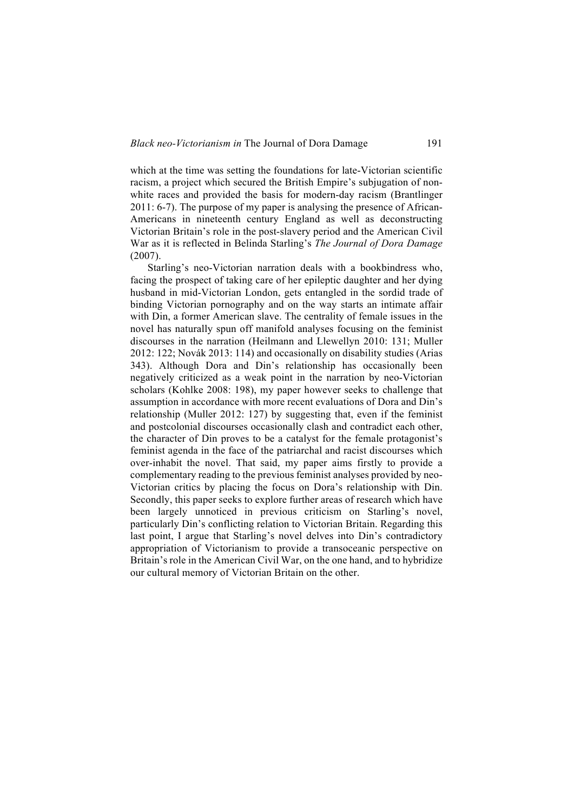which at the time was setting the foundations for late-Victorian scientific racism, a project which secured the British Empire's subjugation of nonwhite races and provided the basis for modern-day racism (Brantlinger 2011: 6-7). The purpose of my paper is analysing the presence of African-Americans in nineteenth century England as well as deconstructing Victorian Britain's role in the post-slavery period and the American Civil War as it is reflected in Belinda Starling's *The Journal of Dora Damage* (2007).

Starling's neo-Victorian narration deals with a bookbindress who, facing the prospect of taking care of her epileptic daughter and her dying husband in mid-Victorian London, gets entangled in the sordid trade of binding Victorian pornography and on the way starts an intimate affair with Din, a former American slave. The centrality of female issues in the novel has naturally spun off manifold analyses focusing on the feminist discourses in the narration (Heilmann and Llewellyn 2010: 131; Muller 2012: 122; Novák 2013: 114) and occasionally on disability studies (Arias 343). Although Dora and Din's relationship has occasionally been negatively criticized as a weak point in the narration by neo-Victorian scholars (Kohlke 2008: 198), my paper however seeks to challenge that assumption in accordance with more recent evaluations of Dora and Din's relationship (Muller 2012: 127) by suggesting that, even if the feminist and postcolonial discourses occasionally clash and contradict each other, the character of Din proves to be a catalyst for the female protagonist's feminist agenda in the face of the patriarchal and racist discourses which over-inhabit the novel. That said, my paper aims firstly to provide a complementary reading to the previous feminist analyses provided by neo-Victorian critics by placing the focus on Dora's relationship with Din. Secondly, this paper seeks to explore further areas of research which have been largely unnoticed in previous criticism on Starling's novel, particularly Din's conflicting relation to Victorian Britain. Regarding this last point, I argue that Starling's novel delves into Din's contradictory appropriation of Victorianism to provide a transoceanic perspective on Britain's role in the American Civil War, on the one hand, and to hybridize our cultural memory of Victorian Britain on the other.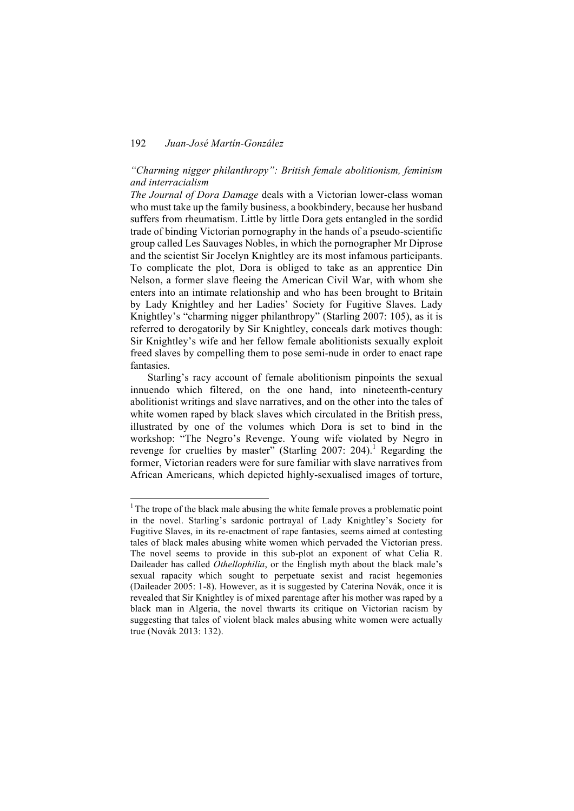# *"Charming nigger philanthropy": British female abolitionism, feminism and interracialism*

*The Journal of Dora Damage* deals with a Victorian lower-class woman who must take up the family business, a bookbindery, because her husband suffers from rheumatism. Little by little Dora gets entangled in the sordid trade of binding Victorian pornography in the hands of a pseudo-scientific group called Les Sauvages Nobles, in which the pornographer Mr Diprose and the scientist Sir Jocelyn Knightley are its most infamous participants. To complicate the plot, Dora is obliged to take as an apprentice Din Nelson, a former slave fleeing the American Civil War, with whom she enters into an intimate relationship and who has been brought to Britain by Lady Knightley and her Ladies' Society for Fugitive Slaves. Lady Knightley's "charming nigger philanthropy" (Starling 2007: 105), as it is referred to derogatorily by Sir Knightley, conceals dark motives though: Sir Knightley's wife and her fellow female abolitionists sexually exploit freed slaves by compelling them to pose semi-nude in order to enact rape fantasies.

Starling's racy account of female abolitionism pinpoints the sexual innuendo which filtered, on the one hand, into nineteenth-century abolitionist writings and slave narratives, and on the other into the tales of white women raped by black slaves which circulated in the British press, illustrated by one of the volumes which Dora is set to bind in the workshop: "The Negro's Revenge. Young wife violated by Negro in revenge for cruelties by master" (Starling 2007: 204).<sup>1</sup> Regarding the former, Victorian readers were for sure familiar with slave narratives from African Americans, which depicted highly-sexualised images of torture,

 $1$ <sup>1</sup> The trope of the black male abusing the white female proves a problematic point in the novel. Starling's sardonic portrayal of Lady Knightley's Society for Fugitive Slaves, in its re-enactment of rape fantasies, seems aimed at contesting tales of black males abusing white women which pervaded the Victorian press. The novel seems to provide in this sub-plot an exponent of what Celia R. Daileader has called *Othellophilia*, or the English myth about the black male's sexual rapacity which sought to perpetuate sexist and racist hegemonies (Daileader 2005: 1-8). However, as it is suggested by Caterina Novák, once it is revealed that Sir Knightley is of mixed parentage after his mother was raped by a black man in Algeria, the novel thwarts its critique on Victorian racism by suggesting that tales of violent black males abusing white women were actually true (Novák 2013: 132).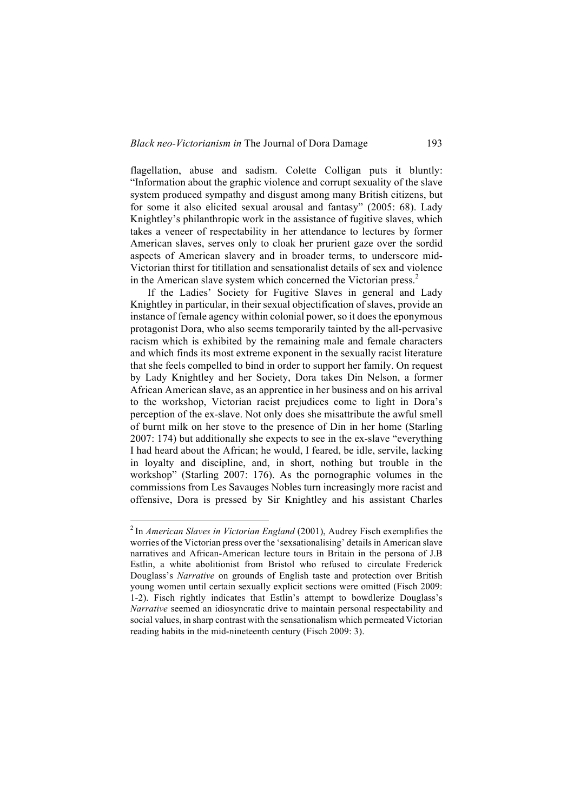flagellation, abuse and sadism. Colette Colligan puts it bluntly: "Information about the graphic violence and corrupt sexuality of the slave system produced sympathy and disgust among many British citizens, but for some it also elicited sexual arousal and fantasy" (2005: 68). Lady Knightley's philanthropic work in the assistance of fugitive slaves, which takes a veneer of respectability in her attendance to lectures by former American slaves, serves only to cloak her prurient gaze over the sordid aspects of American slavery and in broader terms, to underscore mid-Victorian thirst for titillation and sensationalist details of sex and violence in the American slave system which concerned the Victorian press.<sup>2</sup>

If the Ladies' Society for Fugitive Slaves in general and Lady Knightley in particular, in their sexual objectification of slaves, provide an instance of female agency within colonial power, so it does the eponymous protagonist Dora, who also seems temporarily tainted by the all-pervasive racism which is exhibited by the remaining male and female characters and which finds its most extreme exponent in the sexually racist literature that she feels compelled to bind in order to support her family. On request by Lady Knightley and her Society, Dora takes Din Nelson, a former African American slave, as an apprentice in her business and on his arrival to the workshop, Victorian racist prejudices come to light in Dora's perception of the ex-slave. Not only does she misattribute the awful smell of burnt milk on her stove to the presence of Din in her home (Starling 2007: 174) but additionally she expects to see in the ex-slave "everything I had heard about the African; he would, I feared, be idle, servile, lacking in loyalty and discipline, and, in short, nothing but trouble in the workshop" (Starling 2007: 176). As the pornographic volumes in the commissions from Les Savauges Nobles turn increasingly more racist and offensive, Dora is pressed by Sir Knightley and his assistant Charles

 <sup>2</sup> In *American Slaves in Victorian England* (2001), Audrey Fisch exemplifies the worries of the Victorian press over the 'sexsationalising' details in American slave narratives and African-American lecture tours in Britain in the persona of J.B Estlin, a white abolitionist from Bristol who refused to circulate Frederick Douglass's *Narrative* on grounds of English taste and protection over British young women until certain sexually explicit sections were omitted (Fisch 2009: 1-2). Fisch rightly indicates that Estlin's attempt to bowdlerize Douglass's *Narrative* seemed an idiosyncratic drive to maintain personal respectability and social values, in sharp contrast with the sensationalism which permeated Victorian reading habits in the mid-nineteenth century (Fisch 2009: 3).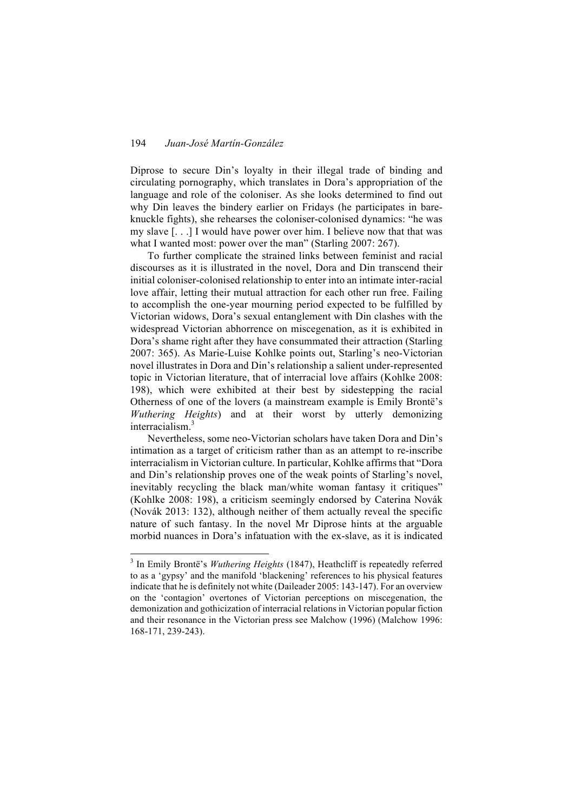Diprose to secure Din's loyalty in their illegal trade of binding and circulating pornography, which translates in Dora's appropriation of the language and role of the coloniser. As she looks determined to find out why Din leaves the bindery earlier on Fridays (he participates in bareknuckle fights), she rehearses the coloniser-colonised dynamics: "he was my slave [. . .] I would have power over him. I believe now that that was what I wanted most: power over the man" (Starling 2007: 267).

To further complicate the strained links between feminist and racial discourses as it is illustrated in the novel, Dora and Din transcend their initial coloniser-colonised relationship to enter into an intimate inter-racial love affair, letting their mutual attraction for each other run free. Failing to accomplish the one-year mourning period expected to be fulfilled by Victorian widows, Dora's sexual entanglement with Din clashes with the widespread Victorian abhorrence on miscegenation, as it is exhibited in Dora's shame right after they have consummated their attraction (Starling 2007: 365). As Marie-Luise Kohlke points out, Starling's neo-Victorian novel illustrates in Dora and Din's relationship a salient under-represented topic in Victorian literature, that of interracial love affairs (Kohlke 2008: 198), which were exhibited at their best by sidestepping the racial Otherness of one of the lovers (a mainstream example is Emily Brontë's *Wuthering Heights*) and at their worst by utterly demonizing interracialism.<sup>3</sup>

Nevertheless, some neo-Victorian scholars have taken Dora and Din's intimation as a target of criticism rather than as an attempt to re-inscribe interracialism in Victorian culture. In particular, Kohlke affirms that "Dora and Din's relationship proves one of the weak points of Starling's novel, inevitably recycling the black man/white woman fantasy it critiques" (Kohlke 2008: 198), a criticism seemingly endorsed by Caterina Novák (Novák 2013: 132), although neither of them actually reveal the specific nature of such fantasy. In the novel Mr Diprose hints at the arguable morbid nuances in Dora's infatuation with the ex-slave, as it is indicated

 <sup>3</sup> In Emily Brontë's *Wuthering Heights* (1847), Heathcliff is repeatedly referred to as a 'gypsy' and the manifold 'blackening' references to his physical features indicate that he is definitely not white (Daileader 2005: 143-147). For an overview on the 'contagion' overtones of Victorian perceptions on miscegenation, the demonization and gothicization of interracial relations in Victorian popular fiction and their resonance in the Victorian press see Malchow (1996) (Malchow 1996: 168-171, 239-243).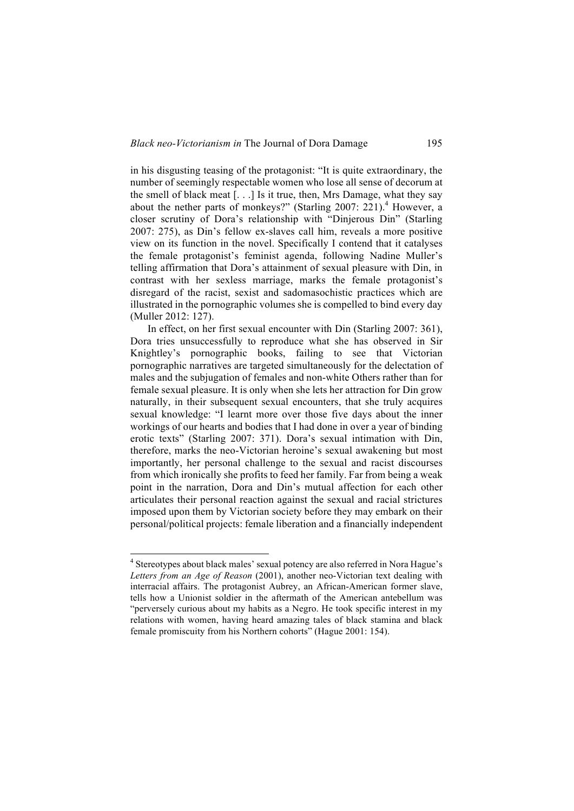in his disgusting teasing of the protagonist: "It is quite extraordinary, the number of seemingly respectable women who lose all sense of decorum at the smell of black meat [. . .] Is it true, then, Mrs Damage, what they say about the nether parts of monkeys?" (Starling 2007: 221).<sup>4</sup> However, a closer scrutiny of Dora's relationship with "Dinjerous Din" (Starling 2007: 275), as Din's fellow ex-slaves call him, reveals a more positive view on its function in the novel. Specifically I contend that it catalyses the female protagonist's feminist agenda, following Nadine Muller's telling affirmation that Dora's attainment of sexual pleasure with Din, in contrast with her sexless marriage, marks the female protagonist's disregard of the racist, sexist and sadomasochistic practices which are illustrated in the pornographic volumes she is compelled to bind every day (Muller 2012: 127).

In effect, on her first sexual encounter with Din (Starling 2007: 361), Dora tries unsuccessfully to reproduce what she has observed in Sir Knightley's pornographic books, failing to see that Victorian pornographic narratives are targeted simultaneously for the delectation of males and the subjugation of females and non-white Others rather than for female sexual pleasure. It is only when she lets her attraction for Din grow naturally, in their subsequent sexual encounters, that she truly acquires sexual knowledge: "I learnt more over those five days about the inner workings of our hearts and bodies that I had done in over a year of binding erotic texts" (Starling 2007: 371). Dora's sexual intimation with Din, therefore, marks the neo-Victorian heroine's sexual awakening but most importantly, her personal challenge to the sexual and racist discourses from which ironically she profits to feed her family. Far from being a weak point in the narration, Dora and Din's mutual affection for each other articulates their personal reaction against the sexual and racial strictures imposed upon them by Victorian society before they may embark on their personal/political projects: female liberation and a financially independent

<sup>&</sup>lt;sup>4</sup> Stereotypes about black males' sexual potency are also referred in Nora Hague's *Letters from an Age of Reason* (2001), another neo-Victorian text dealing with interracial affairs. The protagonist Aubrey, an African-American former slave, tells how a Unionist soldier in the aftermath of the American antebellum was "perversely curious about my habits as a Negro. He took specific interest in my relations with women, having heard amazing tales of black stamina and black female promiscuity from his Northern cohorts" (Hague 2001: 154).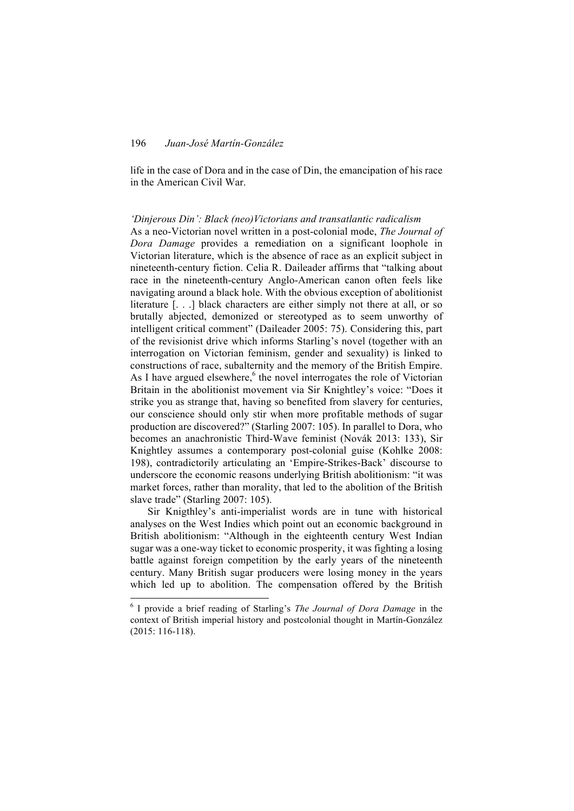life in the case of Dora and in the case of Din, the emancipation of his race in the American Civil War.

## *'Dinjerous Din': Black (neo)Victorians and transatlantic radicalism*

As a neo-Victorian novel written in a post-colonial mode, *The Journal of Dora Damage* provides a remediation on a significant loophole in Victorian literature, which is the absence of race as an explicit subject in nineteenth-century fiction. Celia R. Daileader affirms that "talking about race in the nineteenth-century Anglo-American canon often feels like navigating around a black hole. With the obvious exception of abolitionist literature [. . .] black characters are either simply not there at all, or so brutally abjected, demonized or stereotyped as to seem unworthy of intelligent critical comment" (Daileader 2005: 75). Considering this, part of the revisionist drive which informs Starling's novel (together with an interrogation on Victorian feminism, gender and sexuality) is linked to constructions of race, subalternity and the memory of the British Empire. As I have argued elsewhere, $6$  the novel interrogates the role of Victorian Britain in the abolitionist movement via Sir Knightley's voice: "Does it strike you as strange that, having so benefited from slavery for centuries, our conscience should only stir when more profitable methods of sugar production are discovered?" (Starling 2007: 105). In parallel to Dora, who becomes an anachronistic Third-Wave feminist (Novák 2013: 133), Sir Knightley assumes a contemporary post-colonial guise (Kohlke 2008: 198), contradictorily articulating an 'Empire-Strikes-Back' discourse to underscore the economic reasons underlying British abolitionism: "it was market forces, rather than morality, that led to the abolition of the British slave trade" (Starling 2007: 105).

Sir Knigthley's anti-imperialist words are in tune with historical analyses on the West Indies which point out an economic background in British abolitionism: "Although in the eighteenth century West Indian sugar was a one-way ticket to economic prosperity, it was fighting a losing battle against foreign competition by the early years of the nineteenth century. Many British sugar producers were losing money in the years which led up to abolition. The compensation offered by the British

 <sup>6</sup> I provide a brief reading of Starling's *The Journal of Dora Damage* in the context of British imperial history and postcolonial thought in Martín-González (2015: 116-118).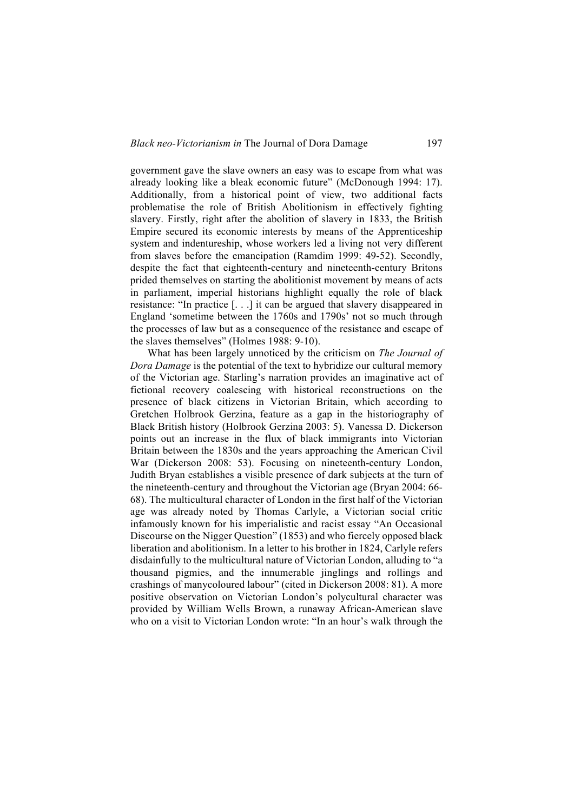government gave the slave owners an easy was to escape from what was already looking like a bleak economic future" (McDonough 1994: 17). Additionally, from a historical point of view, two additional facts problematise the role of British Abolitionism in effectively fighting slavery. Firstly, right after the abolition of slavery in 1833, the British Empire secured its economic interests by means of the Apprenticeship system and indentureship, whose workers led a living not very different from slaves before the emancipation (Ramdim 1999: 49-52). Secondly, despite the fact that eighteenth-century and nineteenth-century Britons prided themselves on starting the abolitionist movement by means of acts in parliament, imperial historians highlight equally the role of black resistance: "In practice [. . .] it can be argued that slavery disappeared in England 'sometime between the 1760s and 1790s' not so much through the processes of law but as a consequence of the resistance and escape of the slaves themselves" (Holmes 1988: 9-10).

What has been largely unnoticed by the criticism on *The Journal of Dora Damage* is the potential of the text to hybridize our cultural memory of the Victorian age. Starling's narration provides an imaginative act of fictional recovery coalescing with historical reconstructions on the presence of black citizens in Victorian Britain, which according to Gretchen Holbrook Gerzina, feature as a gap in the historiography of Black British history (Holbrook Gerzina 2003: 5). Vanessa D. Dickerson points out an increase in the flux of black immigrants into Victorian Britain between the 1830s and the years approaching the American Civil War (Dickerson 2008: 53). Focusing on nineteenth-century London, Judith Bryan establishes a visible presence of dark subjects at the turn of the nineteenth-century and throughout the Victorian age (Bryan 2004: 66- 68). The multicultural character of London in the first half of the Victorian age was already noted by Thomas Carlyle, a Victorian social critic infamously known for his imperialistic and racist essay "An Occasional Discourse on the Nigger Question" (1853) and who fiercely opposed black liberation and abolitionism. In a letter to his brother in 1824, Carlyle refers disdainfully to the multicultural nature of Victorian London, alluding to "a thousand pigmies, and the innumerable jinglings and rollings and crashings of manycoloured labour" (cited in Dickerson 2008: 81). A more positive observation on Victorian London's polycultural character was provided by William Wells Brown, a runaway African-American slave who on a visit to Victorian London wrote: "In an hour's walk through the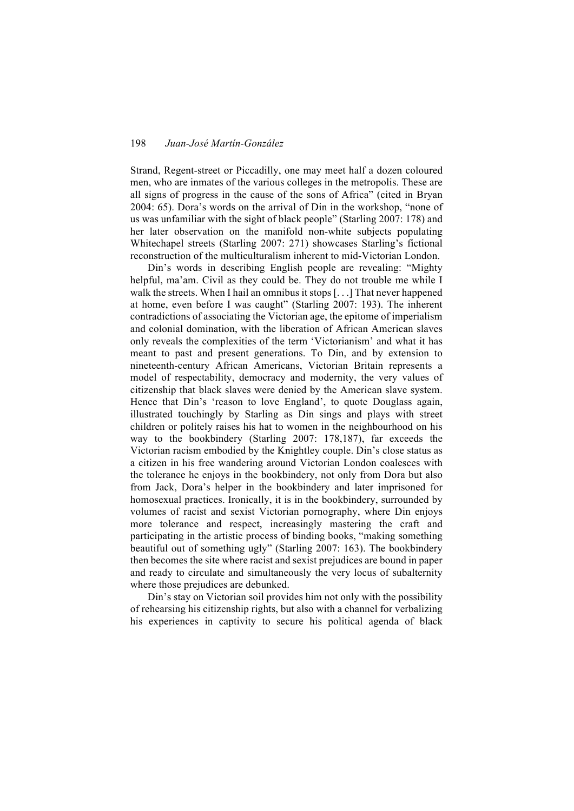Strand, Regent-street or Piccadilly, one may meet half a dozen coloured men, who are inmates of the various colleges in the metropolis. These are all signs of progress in the cause of the sons of Africa" (cited in Bryan 2004: 65). Dora's words on the arrival of Din in the workshop, "none of us was unfamiliar with the sight of black people" (Starling 2007: 178) and her later observation on the manifold non-white subjects populating Whitechapel streets (Starling 2007: 271) showcases Starling's fictional reconstruction of the multiculturalism inherent to mid-Victorian London.

Din's words in describing English people are revealing: "Mighty helpful, ma'am. Civil as they could be. They do not trouble me while I walk the streets. When I hail an omnibus it stops [. . .] That never happened at home, even before I was caught" (Starling 2007: 193). The inherent contradictions of associating the Victorian age, the epitome of imperialism and colonial domination, with the liberation of African American slaves only reveals the complexities of the term 'Victorianism' and what it has meant to past and present generations. To Din, and by extension to nineteenth-century African Americans, Victorian Britain represents a model of respectability, democracy and modernity, the very values of citizenship that black slaves were denied by the American slave system. Hence that Din's 'reason to love England', to quote Douglass again, illustrated touchingly by Starling as Din sings and plays with street children or politely raises his hat to women in the neighbourhood on his way to the bookbindery (Starling 2007: 178,187), far exceeds the Victorian racism embodied by the Knightley couple. Din's close status as a citizen in his free wandering around Victorian London coalesces with the tolerance he enjoys in the bookbindery, not only from Dora but also from Jack, Dora's helper in the bookbindery and later imprisoned for homosexual practices. Ironically, it is in the bookbindery, surrounded by volumes of racist and sexist Victorian pornography, where Din enjoys more tolerance and respect, increasingly mastering the craft and participating in the artistic process of binding books, "making something beautiful out of something ugly" (Starling 2007: 163). The bookbindery then becomes the site where racist and sexist prejudices are bound in paper and ready to circulate and simultaneously the very locus of subalternity where those prejudices are debunked.

Din's stay on Victorian soil provides him not only with the possibility of rehearsing his citizenship rights, but also with a channel for verbalizing his experiences in captivity to secure his political agenda of black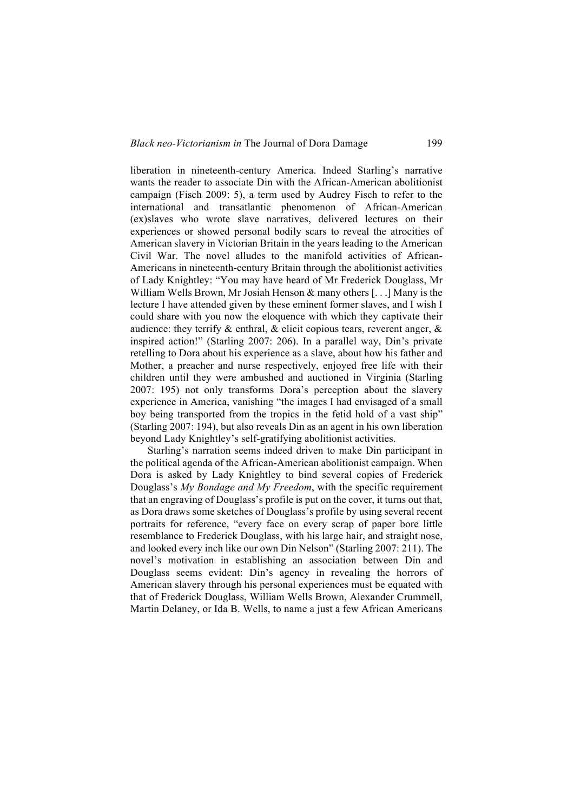liberation in nineteenth-century America. Indeed Starling's narrative wants the reader to associate Din with the African-American abolitionist campaign (Fisch 2009: 5), a term used by Audrey Fisch to refer to the international and transatlantic phenomenon of African-American (ex)slaves who wrote slave narratives, delivered lectures on their experiences or showed personal bodily scars to reveal the atrocities of American slavery in Victorian Britain in the years leading to the American Civil War. The novel alludes to the manifold activities of African-Americans in nineteenth-century Britain through the abolitionist activities of Lady Knightley: "You may have heard of Mr Frederick Douglass, Mr William Wells Brown, Mr Josiah Henson & many others [. . .] Many is the lecture I have attended given by these eminent former slaves, and I wish I could share with you now the eloquence with which they captivate their audience: they terrify  $\&$  enthral,  $\&$  elicit copious tears, reverent anger,  $\&$ inspired action!" (Starling 2007: 206). In a parallel way, Din's private retelling to Dora about his experience as a slave, about how his father and Mother, a preacher and nurse respectively, enjoyed free life with their children until they were ambushed and auctioned in Virginia (Starling 2007: 195) not only transforms Dora's perception about the slavery experience in America, vanishing "the images I had envisaged of a small boy being transported from the tropics in the fetid hold of a vast ship" (Starling 2007: 194), but also reveals Din as an agent in his own liberation beyond Lady Knightley's self-gratifying abolitionist activities.

Starling's narration seems indeed driven to make Din participant in the political agenda of the African-American abolitionist campaign. When Dora is asked by Lady Knightley to bind several copies of Frederick Douglass's *My Bondage and My Freedom*, with the specific requirement that an engraving of Douglass's profile is put on the cover, it turns out that, as Dora draws some sketches of Douglass's profile by using several recent portraits for reference, "every face on every scrap of paper bore little resemblance to Frederick Douglass, with his large hair, and straight nose, and looked every inch like our own Din Nelson" (Starling 2007: 211). The novel's motivation in establishing an association between Din and Douglass seems evident: Din's agency in revealing the horrors of American slavery through his personal experiences must be equated with that of Frederick Douglass, William Wells Brown, Alexander Crummell, Martin Delaney, or Ida B. Wells, to name a just a few African Americans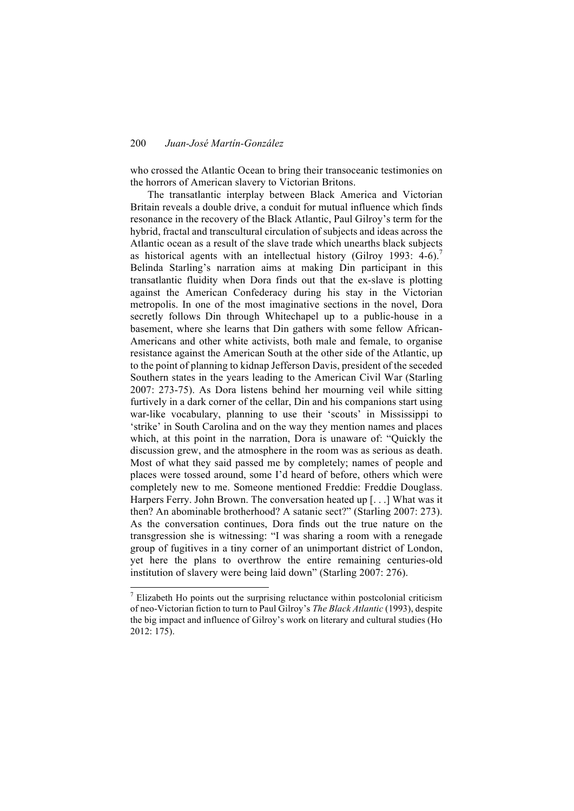who crossed the Atlantic Ocean to bring their transoceanic testimonies on the horrors of American slavery to Victorian Britons.

The transatlantic interplay between Black America and Victorian Britain reveals a double drive, a conduit for mutual influence which finds resonance in the recovery of the Black Atlantic, Paul Gilroy's term for the hybrid, fractal and transcultural circulation of subjects and ideas across the Atlantic ocean as a result of the slave trade which unearths black subjects as historical agents with an intellectual history (Gilroy 1993: 4-6).<sup>7</sup> Belinda Starling's narration aims at making Din participant in this transatlantic fluidity when Dora finds out that the ex-slave is plotting against the American Confederacy during his stay in the Victorian metropolis. In one of the most imaginative sections in the novel, Dora secretly follows Din through Whitechapel up to a public-house in a basement, where she learns that Din gathers with some fellow African-Americans and other white activists, both male and female, to organise resistance against the American South at the other side of the Atlantic, up to the point of planning to kidnap Jefferson Davis, president of the seceded Southern states in the years leading to the American Civil War (Starling 2007: 273-75). As Dora listens behind her mourning veil while sitting furtively in a dark corner of the cellar, Din and his companions start using war-like vocabulary, planning to use their 'scouts' in Mississippi to 'strike' in South Carolina and on the way they mention names and places which, at this point in the narration, Dora is unaware of: "Quickly the discussion grew, and the atmosphere in the room was as serious as death. Most of what they said passed me by completely; names of people and places were tossed around, some I'd heard of before, others which were completely new to me. Someone mentioned Freddie: Freddie Douglass. Harpers Ferry. John Brown. The conversation heated up [. . .] What was it then? An abominable brotherhood? A satanic sect?" (Starling 2007: 273). As the conversation continues, Dora finds out the true nature on the transgression she is witnessing: "I was sharing a room with a renegade group of fugitives in a tiny corner of an unimportant district of London, yet here the plans to overthrow the entire remaining centuries-old institution of slavery were being laid down" (Starling 2007: 276).

 $<sup>7</sup>$  Elizabeth Ho points out the surprising reluctance within postcolonial criticism</sup> of neo-Victorian fiction to turn to Paul Gilroy's *The Black Atlantic* (1993), despite the big impact and influence of Gilroy's work on literary and cultural studies (Ho 2012: 175).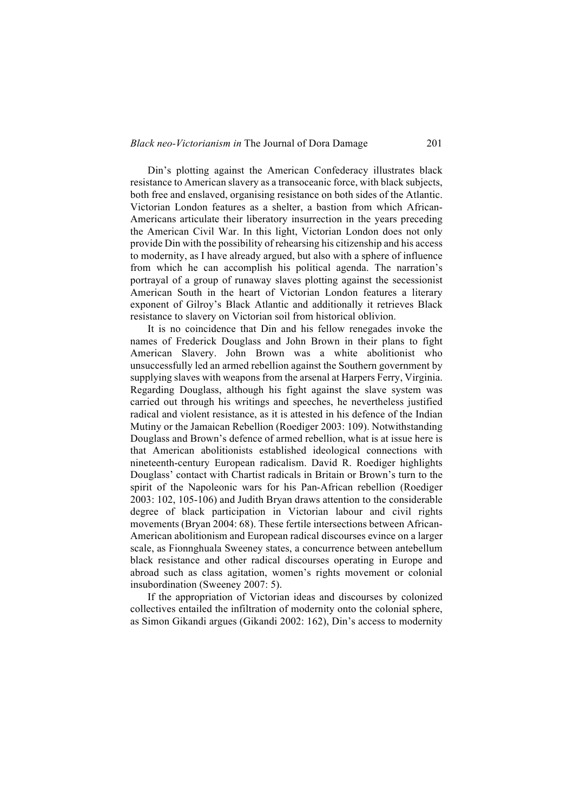Din's plotting against the American Confederacy illustrates black resistance to American slavery as a transoceanic force, with black subjects, both free and enslaved, organising resistance on both sides of the Atlantic. Victorian London features as a shelter, a bastion from which African-Americans articulate their liberatory insurrection in the years preceding the American Civil War. In this light, Victorian London does not only provide Din with the possibility of rehearsing his citizenship and his access to modernity, as I have already argued, but also with a sphere of influence from which he can accomplish his political agenda. The narration's portrayal of a group of runaway slaves plotting against the secessionist American South in the heart of Victorian London features a literary exponent of Gilroy's Black Atlantic and additionally it retrieves Black resistance to slavery on Victorian soil from historical oblivion.

It is no coincidence that Din and his fellow renegades invoke the names of Frederick Douglass and John Brown in their plans to fight American Slavery. John Brown was a white abolitionist who unsuccessfully led an armed rebellion against the Southern government by supplying slaves with weapons from the arsenal at Harpers Ferry, Virginia. Regarding Douglass, although his fight against the slave system was carried out through his writings and speeches, he nevertheless justified radical and violent resistance, as it is attested in his defence of the Indian Mutiny or the Jamaican Rebellion (Roediger 2003: 109). Notwithstanding Douglass and Brown's defence of armed rebellion, what is at issue here is that American abolitionists established ideological connections with nineteenth-century European radicalism. David R. Roediger highlights Douglass' contact with Chartist radicals in Britain or Brown's turn to the spirit of the Napoleonic wars for his Pan-African rebellion (Roediger 2003: 102, 105-106) and Judith Bryan draws attention to the considerable degree of black participation in Victorian labour and civil rights movements (Bryan 2004: 68). These fertile intersections between African-American abolitionism and European radical discourses evince on a larger scale, as Fionnghuala Sweeney states, a concurrence between antebellum black resistance and other radical discourses operating in Europe and abroad such as class agitation, women's rights movement or colonial insubordination (Sweeney 2007: 5).

If the appropriation of Victorian ideas and discourses by colonized collectives entailed the infiltration of modernity onto the colonial sphere, as Simon Gikandi argues (Gikandi 2002: 162), Din's access to modernity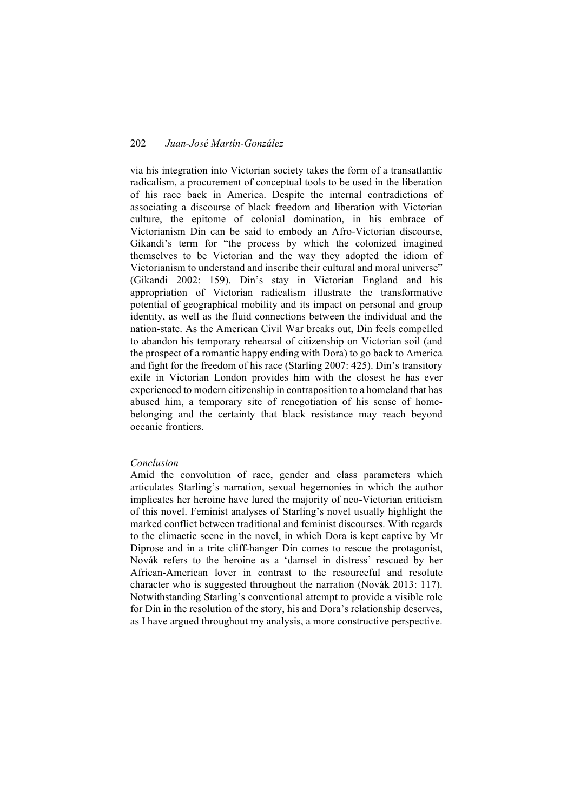via his integration into Victorian society takes the form of a transatlantic radicalism, a procurement of conceptual tools to be used in the liberation of his race back in America. Despite the internal contradictions of associating a discourse of black freedom and liberation with Victorian culture, the epitome of colonial domination, in his embrace of Victorianism Din can be said to embody an Afro-Victorian discourse, Gikandi's term for "the process by which the colonized imagined themselves to be Victorian and the way they adopted the idiom of Victorianism to understand and inscribe their cultural and moral universe" (Gikandi 2002: 159). Din's stay in Victorian England and his appropriation of Victorian radicalism illustrate the transformative potential of geographical mobility and its impact on personal and group identity, as well as the fluid connections between the individual and the nation-state. As the American Civil War breaks out, Din feels compelled to abandon his temporary rehearsal of citizenship on Victorian soil (and the prospect of a romantic happy ending with Dora) to go back to America and fight for the freedom of his race (Starling 2007: 425). Din's transitory exile in Victorian London provides him with the closest he has ever experienced to modern citizenship in contraposition to a homeland that has abused him, a temporary site of renegotiation of his sense of homebelonging and the certainty that black resistance may reach beyond oceanic frontiers.

#### *Conclusion*

Amid the convolution of race, gender and class parameters which articulates Starling's narration, sexual hegemonies in which the author implicates her heroine have lured the majority of neo-Victorian criticism of this novel. Feminist analyses of Starling's novel usually highlight the marked conflict between traditional and feminist discourses. With regards to the climactic scene in the novel, in which Dora is kept captive by Mr Diprose and in a trite cliff-hanger Din comes to rescue the protagonist, Novák refers to the heroine as a 'damsel in distress' rescued by her African-American lover in contrast to the resourceful and resolute character who is suggested throughout the narration (Novák 2013: 117). Notwithstanding Starling's conventional attempt to provide a visible role for Din in the resolution of the story, his and Dora's relationship deserves, as I have argued throughout my analysis, a more constructive perspective.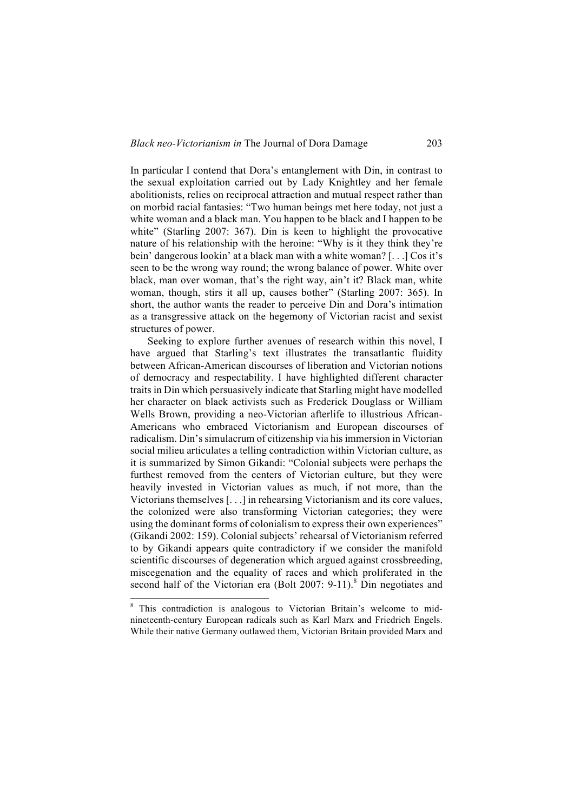In particular I contend that Dora's entanglement with Din, in contrast to the sexual exploitation carried out by Lady Knightley and her female abolitionists, relies on reciprocal attraction and mutual respect rather than on morbid racial fantasies: "Two human beings met here today, not just a white woman and a black man. You happen to be black and I happen to be white" (Starling 2007: 367). Din is keen to highlight the provocative nature of his relationship with the heroine: "Why is it they think they're bein' dangerous lookin' at a black man with a white woman? [. . .] Cos it's seen to be the wrong way round; the wrong balance of power. White over black, man over woman, that's the right way, ain't it? Black man, white woman, though, stirs it all up, causes bother" (Starling 2007: 365). In short, the author wants the reader to perceive Din and Dora's intimation as a transgressive attack on the hegemony of Victorian racist and sexist structures of power.

Seeking to explore further avenues of research within this novel, I have argued that Starling's text illustrates the transatlantic fluidity between African-American discourses of liberation and Victorian notions of democracy and respectability. I have highlighted different character traits in Din which persuasively indicate that Starling might have modelled her character on black activists such as Frederick Douglass or William Wells Brown, providing a neo-Victorian afterlife to illustrious African-Americans who embraced Victorianism and European discourses of radicalism. Din's simulacrum of citizenship via his immersion in Victorian social milieu articulates a telling contradiction within Victorian culture, as it is summarized by Simon Gikandi: "Colonial subjects were perhaps the furthest removed from the centers of Victorian culture, but they were heavily invested in Victorian values as much, if not more, than the Victorians themselves [. . .] in rehearsing Victorianism and its core values, the colonized were also transforming Victorian categories; they were using the dominant forms of colonialism to express their own experiences" (Gikandi 2002: 159). Colonial subjects' rehearsal of Victorianism referred to by Gikandi appears quite contradictory if we consider the manifold scientific discourses of degeneration which argued against crossbreeding, miscegenation and the equality of races and which proliferated in the second half of the Victorian era (Bolt 2007:  $9-11$ ).<sup>8</sup> Din negotiates and

 <sup>8</sup> This contradiction is analogous to Victorian Britain's welcome to midnineteenth-century European radicals such as Karl Marx and Friedrich Engels. While their native Germany outlawed them, Victorian Britain provided Marx and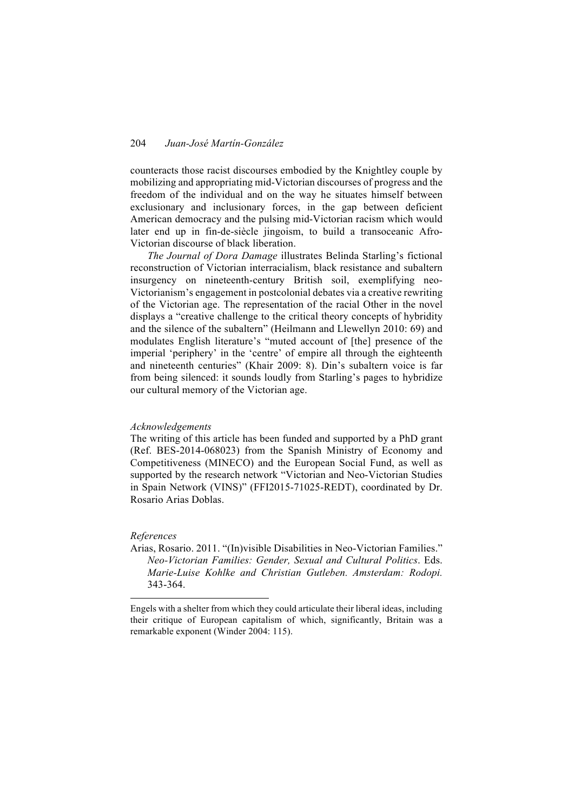counteracts those racist discourses embodied by the Knightley couple by mobilizing and appropriating mid-Victorian discourses of progress and the freedom of the individual and on the way he situates himself between exclusionary and inclusionary forces, in the gap between deficient American democracy and the pulsing mid-Victorian racism which would later end up in fin-de-siècle jingoism, to build a transoceanic Afro-Victorian discourse of black liberation.

*The Journal of Dora Damage* illustrates Belinda Starling's fictional reconstruction of Victorian interracialism, black resistance and subaltern insurgency on nineteenth-century British soil, exemplifying neo-Victorianism's engagement in postcolonial debates via a creative rewriting of the Victorian age. The representation of the racial Other in the novel displays a "creative challenge to the critical theory concepts of hybridity and the silence of the subaltern" (Heilmann and Llewellyn 2010: 69) and modulates English literature's "muted account of [the] presence of the imperial 'periphery' in the 'centre' of empire all through the eighteenth and nineteenth centuries" (Khair 2009: 8). Din's subaltern voice is far from being silenced: it sounds loudly from Starling's pages to hybridize our cultural memory of the Victorian age.

#### *Acknowledgements*

The writing of this article has been funded and supported by a PhD grant (Ref. BES-2014-068023) from the Spanish Ministry of Economy and Competitiveness (MINECO) and the European Social Fund, as well as supported by the research network "Victorian and Neo-Victorian Studies in Spain Network (VINS)" (FFI2015-71025-REDT), coordinated by Dr. Rosario Arias Doblas.

#### *References*

l

Arias, Rosario. 2011. "(In)visible Disabilities in Neo-Victorian Families." *Neo-Victorian Families: Gender, Sexual and Cultural Politics*. Eds. *Marie-Luise Kohlke and Christian Gutleben. Amsterdam: Rodopi.* 343-364.

Engels with a shelter from which they could articulate their liberal ideas, including their critique of European capitalism of which, significantly, Britain was a remarkable exponent (Winder 2004: 115).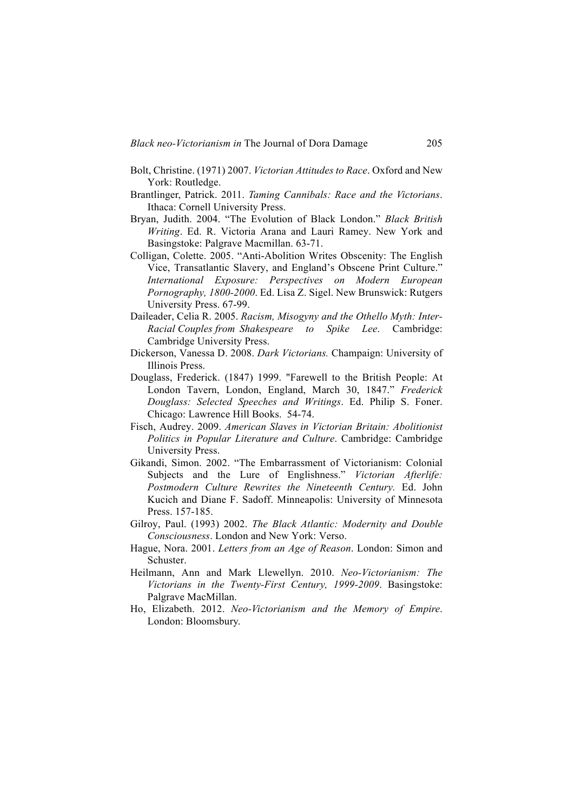- Bolt, Christine. (1971) 2007. *Victorian Attitudes to Race*. Oxford and New York: Routledge.
- Brantlinger, Patrick. 2011. *Taming Cannibals: Race and the Victorians*. Ithaca: Cornell University Press.
- Bryan, Judith. 2004. "The Evolution of Black London." *Black British Writing*. Ed. R. Victoria Arana and Lauri Ramey. New York and Basingstoke: Palgrave Macmillan. 63-71.
- Colligan, Colette. 2005. "Anti-Abolition Writes Obscenity: The English Vice, Transatlantic Slavery, and England's Obscene Print Culture." *International Exposure: Perspectives on Modern European Pornography, 1800-2000*. Ed. Lisa Z. Sigel. New Brunswick: Rutgers University Press. 67-99.
- Daileader, Celia R. 2005. *Racism, Misogyny and the Othello Myth: Inter-Racial Couples from Shakespeare to Spike Lee*. Cambridge: Cambridge University Press.
- Dickerson, Vanessa D. 2008. *Dark Victorians.* Champaign: University of Illinois Press.
- Douglass, Frederick. (1847) 1999. "Farewell to the British People: At London Tavern, London, England, March 30, 1847." *Frederick Douglass: Selected Speeches and Writings*. Ed. Philip S. Foner. Chicago: Lawrence Hill Books. 54-74.
- Fisch, Audrey. 2009. *American Slaves in Victorian Britain: Abolitionist Politics in Popular Literature and Culture*. Cambridge: Cambridge University Press.
- Gikandi, Simon. 2002. "The Embarrassment of Victorianism: Colonial Subjects and the Lure of Englishness." *Victorian Afterlife: Postmodern Culture Rewrites the Nineteenth Century.* Ed. John Kucich and Diane F. Sadoff. Minneapolis: University of Minnesota Press. 157-185.
- Gilroy, Paul. (1993) 2002. *The Black Atlantic: Modernity and Double Consciousness*. London and New York: Verso.
- Hague, Nora. 2001. *Letters from an Age of Reason*. London: Simon and Schuster.
- Heilmann, Ann and Mark Llewellyn. 2010. *Neo-Victorianism: The Victorians in the Twenty-First Century, 1999-2009*. Basingstoke: Palgrave MacMillan.
- Ho, Elizabeth. 2012. *Neo-Victorianism and the Memory of Empire*. London: Bloomsbury.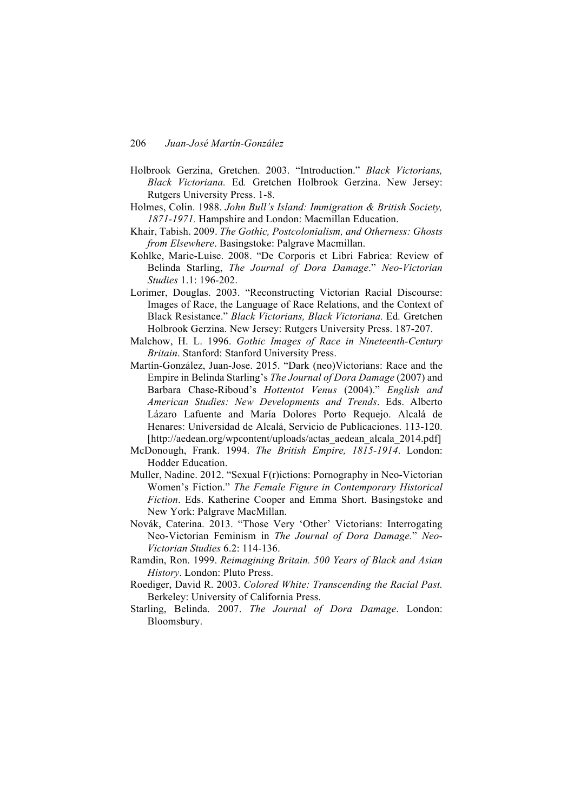- Holbrook Gerzina, Gretchen. 2003. "Introduction." *Black Victorians, Black Victoriana.* Ed*.* Gretchen Holbrook Gerzina. New Jersey: Rutgers University Press. 1-8.
- Holmes, Colin. 1988. *John Bull's Island: Immigration & British Society, 1871-1971.* Hampshire and London: Macmillan Education.
- Khair, Tabish. 2009. *The Gothic, Postcolonialism, and Otherness: Ghosts from Elsewhere*. Basingstoke: Palgrave Macmillan.
- Kohlke, Marie-Luise. 2008. "De Corporis et Libri Fabrica: Review of Belinda Starling, *The Journal of Dora Damage*." *Neo-Victorian Studies* 1.1: 196-202.
- Lorimer, Douglas. 2003. "Reconstructing Victorian Racial Discourse: Images of Race, the Language of Race Relations, and the Context of Black Resistance." *Black Victorians, Black Victoriana.* Ed*.* Gretchen Holbrook Gerzina. New Jersey: Rutgers University Press. 187-207.
- Malchow, H. L. 1996. *Gothic Images of Race in Nineteenth-Century Britain*. Stanford: Stanford University Press.
- Martín-González, Juan-Jose. 2015. "Dark (neo)Victorians: Race and the Empire in Belinda Starling's *The Journal of Dora Damage* (2007) and Barbara Chase-Riboud's *Hottentot Venus* (2004)." *English and American Studies: New Developments and Trends*. Eds. Alberto Lázaro Lafuente and María Dolores Porto Requejo. Alcalá de Henares: Universidad de Alcalá, Servicio de Publicaciones. 113-120. [http://aedean.org/wpcontent/uploads/actas\_aedean\_alcala\_2014.pdf]
- McDonough, Frank. 1994. *The British Empire, 1815-1914*. London: Hodder Education.
- Muller, Nadine. 2012. "Sexual F(r)ictions: Pornography in Neo-Victorian Women's Fiction." *The Female Figure in Contemporary Historical Fiction*. Eds. Katherine Cooper and Emma Short. Basingstoke and New York: Palgrave MacMillan.
- Novák, Caterina. 2013. "Those Very 'Other' Victorians: Interrogating Neo-Victorian Feminism in *The Journal of Dora Damage.*" *Neo-Victorian Studies* 6.2: 114-136.
- Ramdin, Ron. 1999. *Reimagining Britain. 500 Years of Black and Asian History*. London: Pluto Press.
- Roediger, David R. 2003. *Colored White: Transcending the Racial Past.* Berkeley: University of California Press.
- Starling, Belinda. 2007. *The Journal of Dora Damage*. London: Bloomsbury.